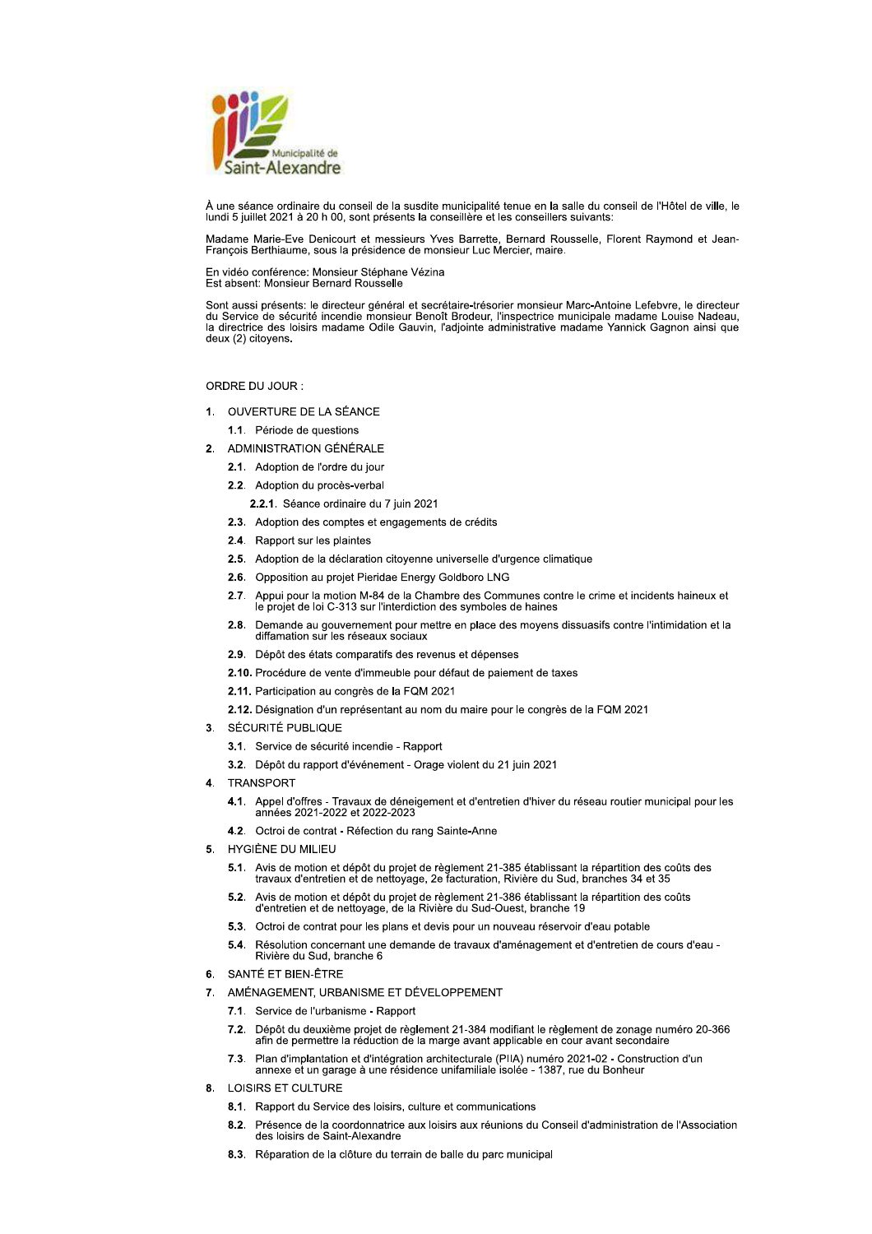

À une séance ordinaire du conseil de la susdite municipalité tenue en la salle du conseil de l'Hôtel de ville, le lundi 5 juillet 2021 à 20 h 00, sont présents la conseillère et les conseillers suivants:

Madame Marie-Eve Denicourt et messieurs Yves Barrette, Bernard Rousselle, Florent Raymond et Jean-François Berthiaume, sous la présidence de monsieur Luc Mercier, maire.

En vidéo conférence: Monsieur Stéphane Vézina Est absent: Monsieur Bernard Roussell

Sont aussi présents: le directeur général et secrétaire-trésorier monsieur Marc-Antoine Lefebvre, le directeur du Service de sécurité incendie monsieur Benoît Brodeur, l'inspectrice municipale madame Louise Nadeau, la directrice des loisirs madame Odile Gauvin, l'adjointe administrative madame Yannick Gagnon ainsi que deux (2) citoyens.

ORDRE DU JOUR:

- 1. OUVERTURE DE LA SÉANCE 1.1. Période de questions
- 2. ADMINISTRATION GÉNÉRALE
	- 2.1. Adoption de l'ordre du jour
	- 2.2. Adoption du procès-verbal
		- 2.2.1. Séance ordinaire du 7 juin 2021
	- 2.3. Adoption des comptes et engagements de crédits
	- 2.4. Rapport sur les plaintes
	- 2.5. Adoption de la déclaration citoyenne universelle d'urgence climatique
	- 2.6. Opposition au projet Pieridae Energy Goldboro LNG
	- 2.7. Appui pour la motion M-84 de la Chambre des Communes contre le crime et incidents haineux et le projet de loi C-313 sur l'interdiction des symboles de haines
	- 2.8. Demande au gouvernement pour mettre en place des moyens dissuasifs contre l'intimidation et la diffamation sur les réseaux sociaux
	- 2.9. Dépôt des états comparatifs des revenus et dépenses
	- 2.10. Procédure de vente d'immeuble pour défaut de paiement de taxes
	- 2.11. Participation au congrès de la FQM 2021
	- 2.12. Désignation d'un représentant au nom du maire pour le congrès de la FQM 2021
- 3. SÉCURITÉ PUBLIQUE
	- 3.1. Service de sécurité incendie Rapport
	- 3.2. Dépôt du rapport d'événement Orage violent du 21 juin 2021
- $\mathbf{A}$ **TRANSPORT** 
	- 4.1. Appel d'offres Travaux de déneigement et d'entretien d'hiver du réseau routier municipal pour les années 2021-2022 et 2022-2023
	- 4.2. Octroi de contrat Réfection du rang Sainte-Anne
- HYGIÈNE DU MILIEU 5.
	- 5.1. Avis de motion et dépôt du projet de règlement 21-385 établissant la répartition des coûts des travaux d'entretien et de nettoyage, 2e facturation, Rivière du Sud, branches 34 et 35
	- 5.2. Avis de motion et dépôt du projet de règlement 21-386 établissant la répartition des coûts d'entretien et de nettoyage, de la Rivière du Sud-Ouest, branche 19
	- 5.3. Octroi de contrat pour les plans et devis pour un nouveau réservoir d'eau potable
	- 5.4. Résolution concernant une demande de travaux d'aménagement et d'entretien de cours d'eau -Rivière du Sud, branche 6
- 6. SANTÉ ET BIEN-ÊTRE
- 7. AMÉNAGEMENT, URBANISME ET DÉVELOPPEMENT
	- 7.1. Service de l'urbanisme Rapport
	- 7.2. Dépôt du deuxième projet de règlement 21-384 modifiant le règlement de zonage numéro 20-366<br>afin de permettre la réduction de la marge avant applicable en cour avant secondaire
	- 7.3. Plan d'implantation et d'intégration architecturale (PIIA) numéro 2021-02 Construction d'un annexe et un garage à une résidence unifamiliale isolée - 1387, rue du Bonheur
- 8. LOISIRS ET CULTURE
	- 8.1. Rapport du Service des loisirs, culture et communications
	- 8.2. Présence de la coordonnatrice aux loisirs aux réunions du Conseil d'administration de l'Association des loisirs de Saint-Alexandre
	- 8.3. Réparation de la clôture du terrain de balle du parc municipal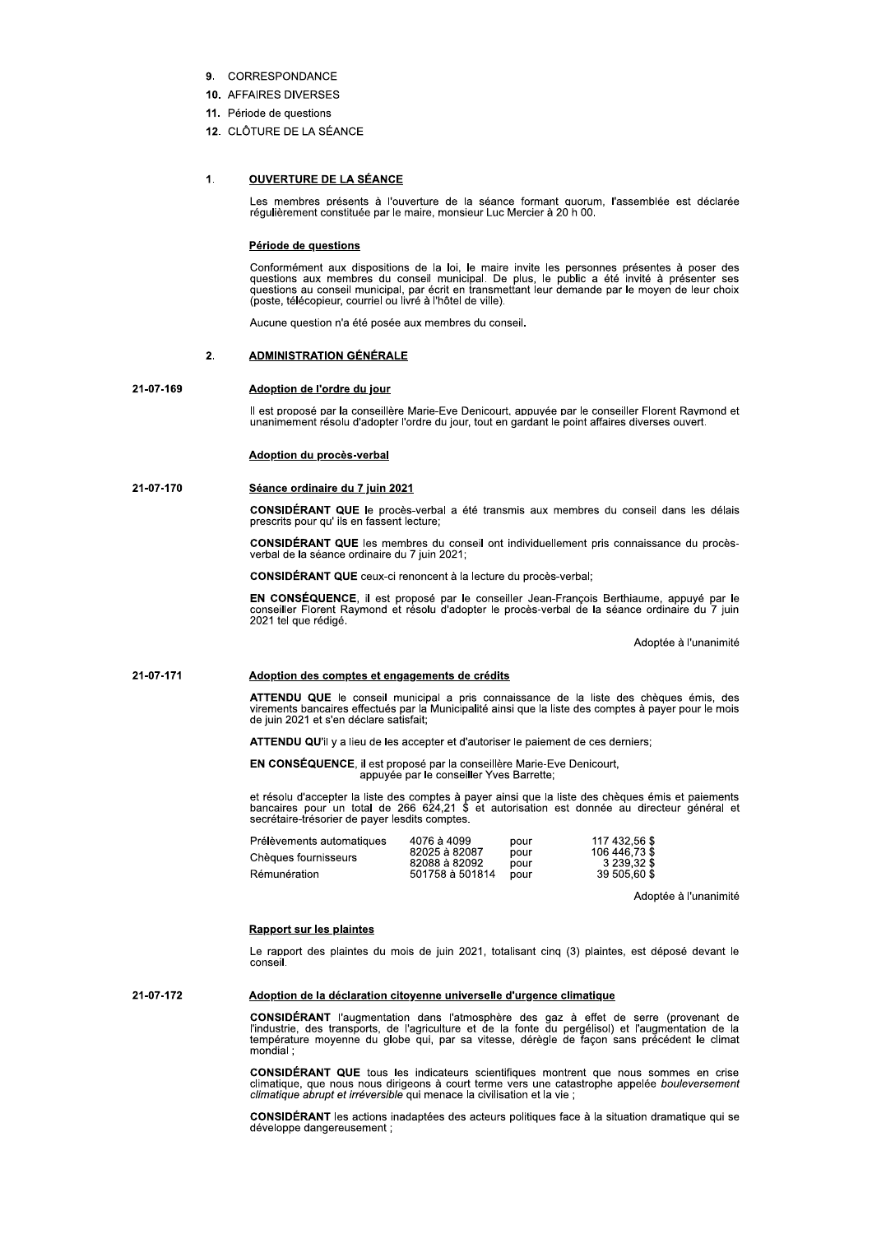- 9. CORRESPONDANCE
- 10. AFFAIRES DIVERSES
- 11. Période de questions
- 12. CLÔTURE DE LA SÉANCE

#### $\mathbf{1}$ **OUVERTURE DE LA SÉANCE**

Les membres présents à l'ouverture de la séance formant quorum, l'assemblée est déclarée régulièrement constituée par le maire, monsieur Luc Mercier à 20 h 00.

# Période de questions

Conformément aux dispositions de la loi, le maire invite les personnes présentes à poser des Sources du conseil municipal. De plus, le public a été invité à présenter ses<br>questions aux membres du conseil municipal. De plus, le public a été invité à présenter ses<br>questions au conseil municipal, par écrit en transme

Aucune question n'a été posée aux membres du conseil.

#### $\overline{2}$ **ADMINISTRATION GÉNÉRALE**

#### 21-07-169 Adoption de l'ordre du jour

Il est proposé par la conseillère Marie-Eve Denicourt, appuyée par le conseiller Florent Raymond et unanimement résolu d'adopter l'ordre du jour, tout en gardant le point affaires diverses ouvert.

# Adoption du procès-verbal

## 21-07-170 Séance ordinaire du 7 juin 2021

CONSIDÉRANT QUE le procès-verbal a été transmis aux membres du conseil dans les délais prescrits pour qu'ils en fassent lecture;

**CONSIDÉRANT QUE** les membres du conseil ont individuellement pris connaissance du procèsverbal de la séance ordinaire du 7 juin 2021;

**CONSIDÉRANT QUE** ceux-ci renoncent à la lecture du procès-verbal;

EN CONSÉQUENCE, il est proposé par le conseiller Jean-François Berthiaume, appuyé par le conseiller Florent Raymond et résolu d'adopter le procès-verbal de la séance ordinaire du 7 juin 2021 tel que rédigé.

Adoptée à l'unanimité

#### 21-07-171 Adoption des comptes et engagements de crédits

ATTENDU QUE le conseil municipal a pris connaissance de la liste des chèques émis, des virements bancaires effectués par la Municipalité ainsi que la liste des comptes à payer pour le mois de juin 2021 et s'en déclare sati

ATTENDU QU'il y a lieu de les accepter et d'autoriser le paiement de ces derniers;

EN CONSÉQUENCE, il est proposé par la conseillère Marie-Eve Denicourt, appuyée par le conseiller Yves Barrette;

et résolu d'accepter la liste des comptes à payer ainsi que la liste des chèques émis et paiements bancaires pour un total de 266 624,21 \$ et autorisation est donnée au directeur général et secrétaire-trésorier de payer le

| Prélèvements automatiques | 4076 à 4099     | pour | 117 432,56 \$ |
|---------------------------|-----------------|------|---------------|
| Chèques fournisseurs      | 82025 à 82087   | pour | 106 446.73 \$ |
|                           | 82088 à 82092   | pour | 3 239.32 \$   |
| Rémunération              | 501758 à 501814 | pour | 39 505.60 \$  |
|                           |                 |      |               |

Adoptée à l'unanimité

## **Rapport sur les plaintes**

Le rapport des plaintes du mois de juin 2021, totalisant cinq (3) plaintes, est déposé devant le conseil.

21-07-172 Adoption de la déclaration citoyenne universelle d'urgence climatique

> CONSIDÉRANT l'augmentation dans l'atmosphère des gaz à effet de serre (provenant de l'industrie, des transports, de l'agriculture et de la fonte du pergélisol) et l'augmentation de la<br>température moyenne du globe qui, par mondial:

> CONSIDÉRANT QUE tous les indicateurs scientifiques montrent que nous sommes en crise climatique, que nous nous dirigeons à court terme vers une catastrophe appelée bouleversement climatique abrupt et irréversible qui menac

CONSIDÉRANT les actions inadaptées des acteurs politiques face à la situation dramatique qui se développe dangereusement ;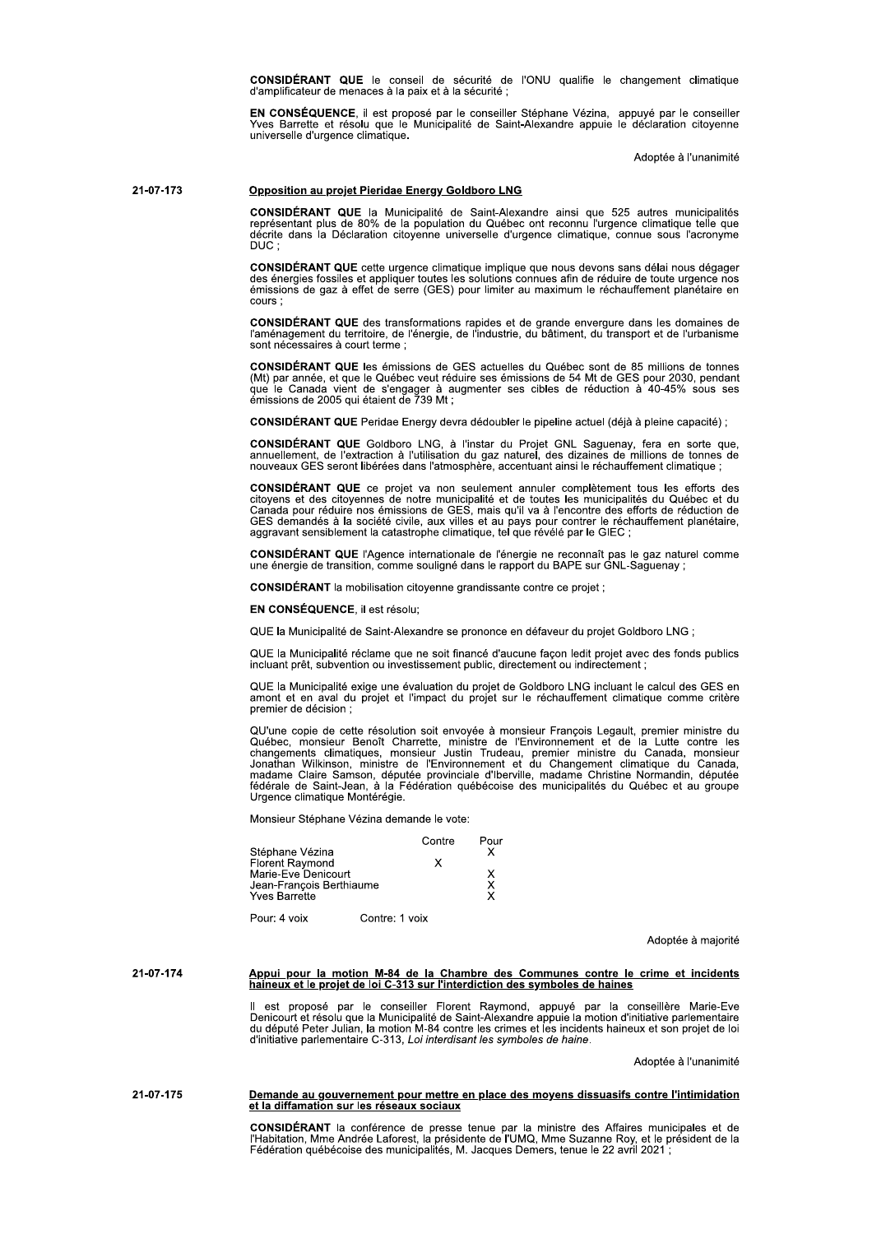CONSIDÉRANT QUE le conseil de sécurité de l'ONU qualifie le changement climatique d'amplificateur de menaces à la paix et à la sécurité;

EN CONSÉQUENCE, il est proposé par le conseiller Stéphane Vézina, appuyé par le conseiller<br>Yves Barrette et résolu que le Municipalité de Saint-Alexandre appuie le déclaration citoyenne universelle d'urgence climatique.

Adoptée à l'unanimité

#### 21-07-173 Opposition au projet Pieridae Energy Goldboro LNG

CONSIDÉRANT QUE la Municipalité de Saint-Alexandre ainsi que 525 autres municipalités représentant plus de 80% de la population du Québec ont reconnu l'urgence climatique telle que décrite dans la Déclaration citoyenne uni DUC:

CONSIDÉRANT QUE cette urgence climatique implique que nous devons sans délai nous dégager Senator a series de la concernation de la solutions connues afin de réduire de toute urgence nos<br>émissions de gaz à effet de serre (GES) pour limiter au maximum le réchauffement planétaire en cours:

CONSIDÉRANT QUE des transformations rapides et de grande envergure dans les domaines de<br>l'aménagement du territoire, de l'énergie, de l'industrie, du bâtiment, du transport et de l'urbanisme sont nécessaires à court terme;

**CONSIDÉRANT QUE** les émissions de GES actuelles du Québec sont de 85 millions de tonnes (Mt) par année, et que le Québec veut réduire ses émissions de 54 Mt de GES pour 2030, pendant que le Canada vient de s'engager à augmenter ses cibles de réduction à 40-45% sous ses<br>émissions de 2005 qui étaient de 739 Mt ;

CONSIDÉRANT QUE Peridae Energy devra dédoubler le pipeline actuel (déjà à pleine capacité) ;

CONSIDÉRANT QUE Goldboro LNG, à l'instar du Projet GNL Saguenay, fera en sorte que, annuellement, de l'extraction à l'utilisation du gaz naturel, des dizaines de millions de tonnes de nouveaux GES seront libérées dans l'at

**CONSIDÉRANT QUE** ce projet va non seulement annuler complètement tous les efforts des citoyens et des citoyennes de notre municipalité et de toutes les municipalités du Québec et du Canada pour réduire nos émissions de GE

CONSIDÉRANT QUE l'Agence internationale de l'énergie ne reconnaît pas le gaz naturel comme<br>une énergie de transition, comme souligné dans le rapport du BAPE sur GNL-Saguenay ;

CONSIDÉRANT la mobilisation citoyenne grandissante contre ce projet ;

## EN CONSÉQUENCE, il est résolu;

QUE la Municipalité de Saint-Alexandre se prononce en défaveur du projet Goldboro LNG ;

QUE la Municipalité réclame que ne soit financé d'aucune façon ledit projet avec des fonds publics incluant prêt, subvention ou investissement public, directement ou indirectement;

QUE la Municipalité exige une évaluation du projet de Goldboro LNG incluant le calcul des GES en amont et en aval du projet et l'impact du projet sur le réchauffement climatique comme critère premier de décision ;

QU'une copie de cette résolution soit envoyée à monsieur François Legault, premier ministre du<br>Québec, monsieur Benoît Charrette, ministre de l'Environnement et de la Lutte contre les<br>changements climatiques, monsieur Just Urgence climatique Montérégie.

Monsieur Stéphane Vézina demande le vote:

|                                                                                                                      |                | Contre | Pour   |
|----------------------------------------------------------------------------------------------------------------------|----------------|--------|--------|
| Stéphane Vézina<br><b>Florent Raymond</b><br>Marie-Eve Denicourt<br>Jean-François Berthiaume<br><b>Yves Barrette</b> |                | x      | x<br>x |
| Pour: 4 voix                                                                                                         | Contre: 1 voix |        |        |

Adoptée à majorité

Appui pour la motion M-84 de la Chambre des Communes contre le crime et incidents<br>haineux et le projet de loi C-313 sur l'interdiction des symboles de haines 21-07-174

> Il est proposé par le conseiller Florent Raymond, appuyé par la conseillère Marie-Eve<br>Denicourt et résolu que la Municipalité de Saint-Alexandre appuie la motion d'initiative parlementaire<br>du député Peter Julian, la motion d'initiative parlementaire C-313, Loi interdisant les symboles de haine.

> > Adoptée à l'unanimité

## 21-07-175 Demande au gouvernement pour mettre en place des moyens dissuasifs contre l'intimidation et la diffamation sur les réseaux sociaux

CONSIDÉRANT la conférence de presse tenue par la ministre des Affaires municipales et de<br>l'Habitation, Mme Andrée Laforest, la présidente de l'UMQ, Mme Suzanne Roy, et le président de la Fédération québécoise des municipalités, M. Jacques Demers, tenue le 22 avril 2021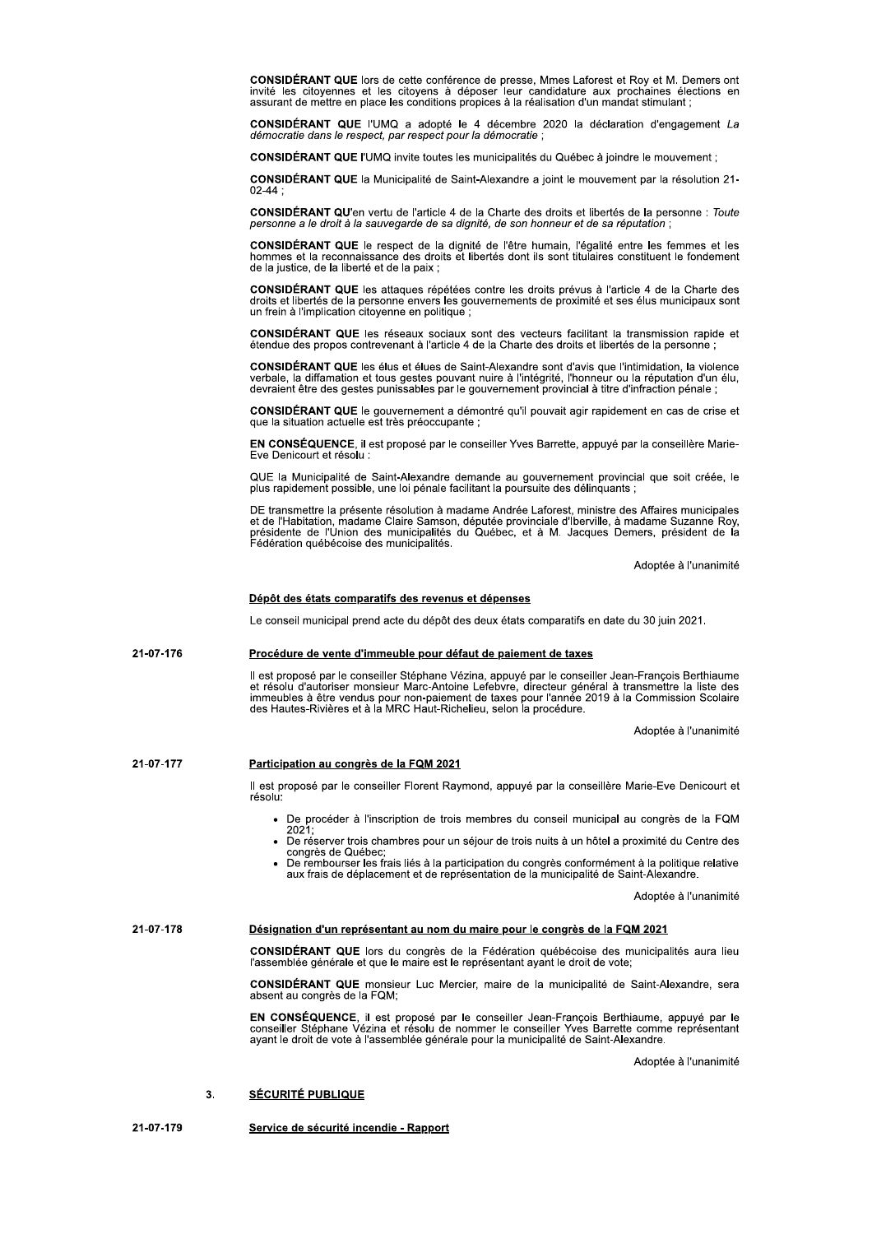CONSIDÉRANT QUE lors de cette conférence de presse, Mmes Laforest et Roy et M. Demers ont invité les citoyennes et les citoyens à déposer leur candidature aux prochaines élections en assurant de mettre en place les conditions propices à la réalisation d'un mandat stimulant ;

**CONSIDÉRANT QUE** l'UMQ a adopté le 4 décembre 2020 la déclaration d'engagement La démocratie dans le respect, par respect pour la démocratie

CONSIDÉRANT QUE l'UMQ invite toutes les municipalités du Québec à joindre le mouvement :

CONSIDÉRANT QUE la Municipalité de Saint-Alexandre a joint le mouvement par la résolution 21- $02 - 44:$ 

CONSIDÉRANT QU'en vertu de l'article 4 de la Charte des droits et libertés de la personne : Toute personne a le droit à la sauvegarde de sa dignité, de son honneur et de sa réputation ;

CONSIDÉRANT QUE le respect de la dignité de l'être humain, l'égalité entre les femmes et les hommes et la reconnaissance des droits et libertés dont ils sont titulaires constituent le fondement de la justice, de la liberté

**CONSIDÉRANT QUE** les attaques répétées contre les droits prévus à l'article 4 de la Charte des droits et libertés de la personne envers les gouvernements de proximité et ses élus municipaux sont un frein à l'implication citoyenne en politique;

CONSIDÉRANT QUE les réseaux sociaux sont des vecteurs facilitant la transmission rapide et étendue des propos contrevenant à l'article 4 de la Charte des droits et libertés de la personne ;

CONSIDÉRANT QUE les élus et élues de Saint-Alexandre sont d'avis que l'intimidation, la violence verbale, la diffamation et tous gestes pouvant nuire à l'intégrité, l'honneur ou la réputation d'un élu, ; devraient être des gestes punissables par le gouvernement provincial à titre d'infraction pénale

CONSIDÉRANT QUE le gouvernement a démontré qu'il pouvait agir rapidement en cas de crise et que la situation actuelle est très préoccupante ;

EN CONSÉQUENCE, il est proposé par le conseiller Yves Barrette, appuyé par la conseillère Marie-Eve Denicourt et résolu :

QUE la Municipalité de Saint-Alexandre demande au gouvernement provincial que soit créée, le plus rapidement possible, une loi pénale facilitant la poursuite des délinquants ;

DE transmettre la présente résolution à madame Andrée Laforest, ministre des Affaires municipales De l'alphabitation, madame Claire Samson, députée provinciale d'Iberville, à madame Suzanne Roy,<br>présidente de l'Union des municipalités du Québec, et à M. Jacques Demers, président de la Fédération québécoise des municipalités.

Adoptée à l'unanimité

# Dépôt des états comparatifs des revenus et dépenses

Le conseil municipal prend acte du dépôt des deux états comparatifs en date du 30 juin 2021.

#### 21-07-176 Procédure de vente d'immeuble pour défaut de paiement de taxes

Il est proposé par le conseiller Stéphane Vézina, appuyé par le conseiller Jean-François Berthiaume re solu d'autoriser monsieur Marc-Antoine Lefebvre, directeur général à transmettre la liste des<br>immeubles à être vendus pour non-paiement de taxes pour l'année 2019 à la Commission Scolaire<br>des Hautes-Rivières et à la MRC

Adoptée à l'unanimité

#### 21-07-177 Participation au congrès de la FQM 2021

Il est proposé par le conseiller Florent Raymond, appuyé par la conseillère Marie-Eve Denicourt et résolu:

- De procéder à l'inscription de trois membres du conseil municipal au congrès de la FQM 2021,
- · De réserver trois chambres pour un séjour de trois nuits à un hôtel a proximité du Centre des congrès de Québec;
- De rembourser les frais liés à la participation du congrès conformément à la politique relative aux frais de déplacement et de représentation de la municipalité de Saint-Alexandre.

Adoptée à l'unanimité

#### 21-07-178 Désignation d'un représentant au nom du maire pour le congrès de la FQM 2021

CONSIDÉRANT QUE lors du congrès de la Fédération québécoise des municipalités aura lieu l'assemblée générale et que le maire est le représentant ayant le droit de vote;

CONSIDÉRANT QUE monsieur Luc Mercier, maire de la municipalité de Saint-Alexandre, sera absent au congrès de la FQM;

EN CONSÉQUENCE, il est proposé par le conseiller Jean-François Berthiaume, appuyé par le conseiller Stéphane Vézina et résolu de nommer le conseiller Yves Barrette comme représentant ayant le droit de vote à l'assemblée gé

Adoptée à l'unanimité

#### **SÉCURITÉ PUBLIQUE**  $\overline{3}$ .

21-07-179 Service de sécurité incendie - Rapport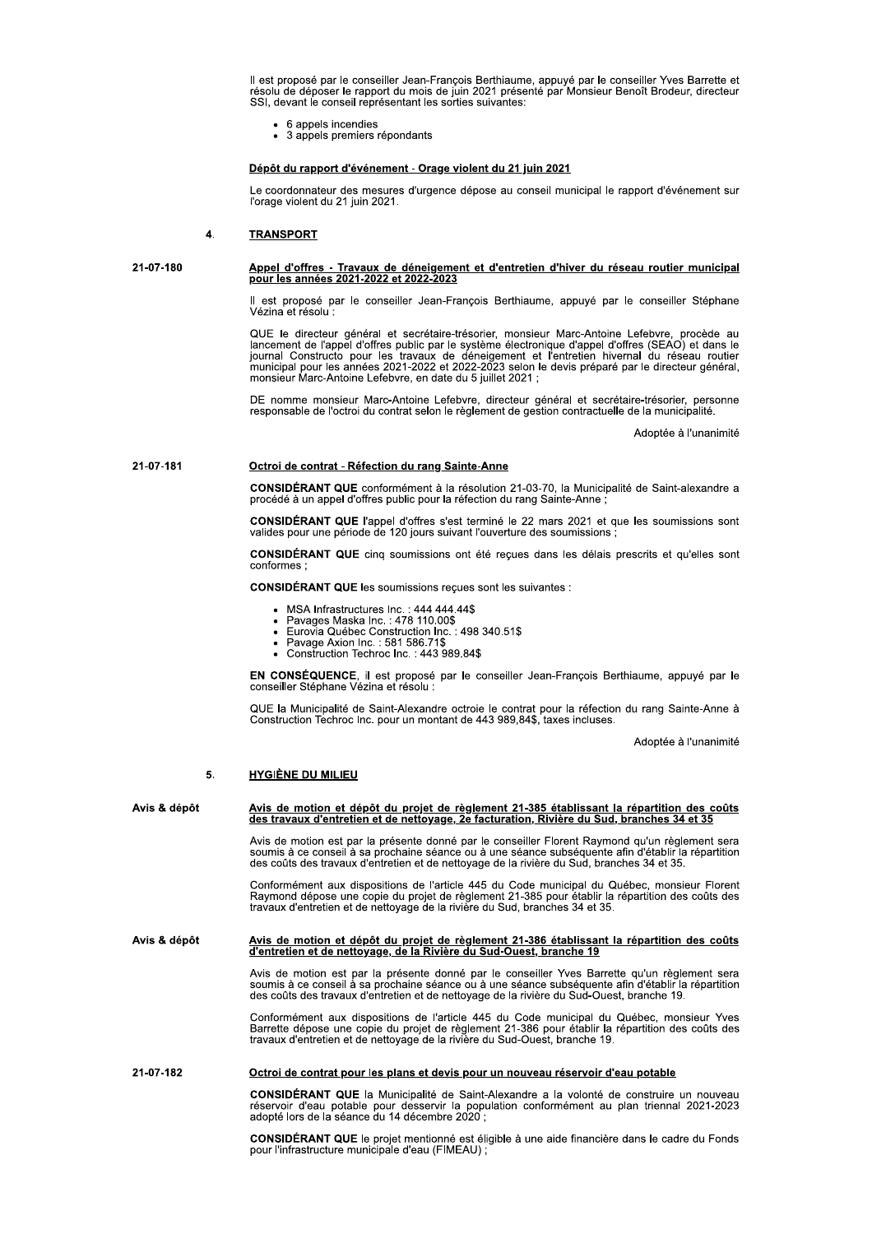Il est proposé par le conseiller Jean-François Berthiaume, appuyé par le conseiller Yves Barrette et<br>résolu de déposer le rapport du mois de juin 2021 présenté par Monsieur Benoît Brodeur, directeur SSI, devant le conseil représentant les sorties suivantes:

- 6 appels incendies
- 3 appels premiers répondants

# Dépôt du rapport d'événement - Orage violent du 21 juin 2021

Le coordonnateur des mesures d'urgence dépose au conseil municipal le rapport d'événement sur l'orage violent du 21 juin 2021.

#### **TRANSPORT**  $\overline{4}$

```
21-07-180
```
# Appel d'offres - Travaux de déneigement et d'entretien d'hiver du réseau routier municipal<br>pour les années 2021-2022 et 2022-2023

Il est proposé par le conseiller Jean-François Berthiaume, appuyé par le conseiller Stéphane Vézina et résolu :

QUE le directeur général et secrétaire-trésorier, monsieur Marc-Antoine Lefebvre, procède au lancement de l'appel d'offres public par le système électronique d'appel d'offres (SEAO) et dans le journal Constructo pour les t monsieur Marc-Antoine Lefebvre, en date du 5 juillet 2021 ;

DE nomme monsieur Marc-Antoine Lefebvre, directeur général et secrétaire-trésorier, personne<br>responsable de l'octroi du contrat selon le règlement de gestion contractuelle de la municipalité.

Adoptée à l'unanimité

#### 21-07-181 Octroi de contrat - Réfection du rang Sainte-Anne

CONSIDÉRANT QUE conformément à la résolution 21-03-70, la Municipalité de Saint-alexandre a procédé à un appel d'offres public pour la réfection du rang Sainte-Anne ;

**CONSIDÉRANT QUE** l'appel d'offres s'est terminé le 22 mars 2021 et que les soumissions sont valides pour une période de 120 jours suivant l'ouverture des soumissions;

CONSIDÉRANT QUE cinq soumissions ont été reçues dans les délais prescrits et qu'elles sont conformes :

**CONSIDÉRANT QUE les soumissions reçues sont les suivantes :** 

- $\bullet$
- $\ddot{\phantom{a}}$
- MSA Infrastructures Inc. : 444 444.44\$<br>Pavages Maska Inc. : 478 110.00\$<br>Eurovia Québec Construction Inc. : 498 340.51\$<br>Pavage Axion Inc. : 581 586.71\$<br>Construction Techroc Inc. : 443 989.84\$
- 

EN CONSÉQUENCE, il est proposé par le conseiller Jean-François Berthiaume, appuyé par le conseiller Stéphane Vézina et résolu :

QUE la Municipalité de Saint-Alexandre octroie le contrat pour la réfection du rang Sainte-Anne à<br>Construction Techroc Inc. pour un montant de 443 989,84\$, taxes incluses.

Adoptée à l'unanimité

#### **HYGIÈNE DU MILIEU** 5.

| Avis & dépôt | Avis de motion et dépôt du projet de règlement 21-385 établissant la répartition des coûts<br>des travaux d'entretien et de nettoyage, 2e facturation, Rivière du Sud, branches 34 et 35                                                                                                             |
|--------------|------------------------------------------------------------------------------------------------------------------------------------------------------------------------------------------------------------------------------------------------------------------------------------------------------|
|              | Avis de motion est par la présente donné par le conseiller Florent Raymond qu'un règlement sera<br>soumis à ce conseil à sa prochaine séance ou à une séance subséquente afin d'établir la répartition<br>des coûts des travaux d'entretien et de nettoyage de la rivière du Sud, branches 34 et 35. |
|              | Conformément aux dispositions de l'article 445 du Code municipal du Québec, monsieur Florent<br>Raymond dépose une copie du projet de règlement 21-385 pour établir la répartition des coûts des<br>travaux d'entretien et de nettoyage de la rivière du Sud, branches 34 et 35.                     |
| Avis & dépôt | Avis de motion et dépôt du projet de règlement 21-386 établissant la répartition des coûts<br>d'entretien et de nettoyage, de la Rivière du Sud-Ouest, branche 19                                                                                                                                    |
|              | Avis de motion est par la présente donné par le conseiller Yves Barrette qu'un règlement sera<br>soumis à ce conseil à sa prochaine séance ou à une séance subséquente afin d'établir la répartition<br>des coûts des travaux d'entretien et de nettovage de la rivière du Sud-Ouest, branche 19.    |
|              | Conformément aux dispositions de l'article 445 du Code municipal du Québec, monsieur Yves<br>Barrette dépose une copie du projet de règlement 21-386 pour établir la répartition des coûts des<br>travaux d'entretien et de nettoyage de la rivière du Sud-Ouest, branche 19.                        |
| 21-07-182    | <u>Octroi de contrat pour les plans et devis pour un nouveau réservoir d'eau potable</u>                                                                                                                                                                                                             |
|              | <b>CONSIDERANT QUE</b> la Municipalité de Saint-Alexandre a la volonté de construire un nouveau<br>réservoir d'eau potable pour desservir la population conformément au plan triennal 2021-2023<br>adopté lors de la séance du 14 décembre 2020 ;                                                    |
|              |                                                                                                                                                                                                                                                                                                      |

CONSIDÉRANT QUE le projet mentionné est éligible à une aide financière dans le cadre du Fonds<br>pour l'infrastructure municipale d'eau (FIMEAU) ;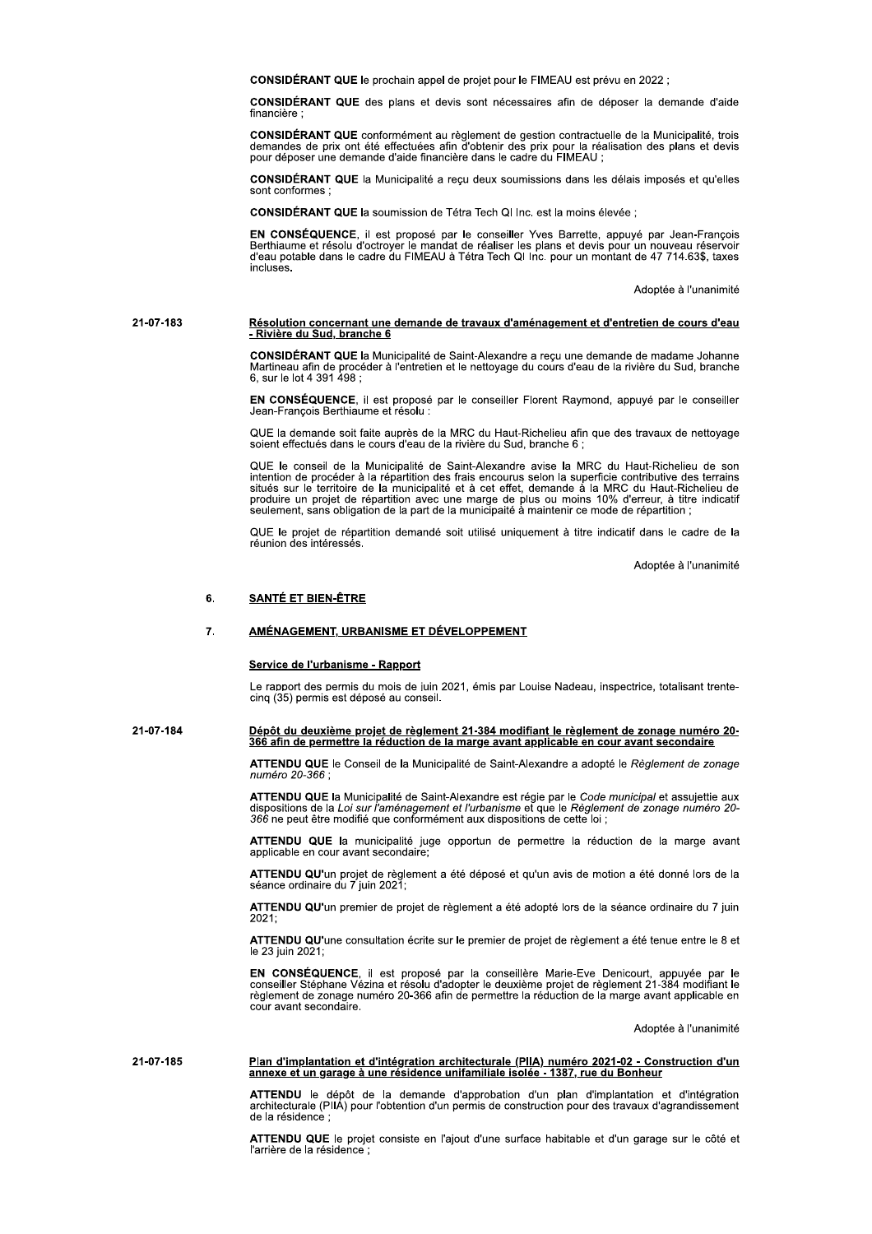CONSIDÉRANT QUE le prochain appel de projet pour le FIMEAU est prévu en 2022 ;

CONSIDÉRANT QUE des plans et devis sont nécessaires afin de déposer la demande d'aide financière

CONSIDÉRANT QUE conformément au règlement de gestion contractuelle de la Municipalité, trois demandes de prix ont été effectuées afin d'obtenir des prix pour la réalisation des plans et devis pour déposer une demande d'aid

CONSIDÉRANT QUE la Municipalité a reçu deux soumissions dans les délais imposés et qu'elles sont conformes

CONSIDÉRANT QUE la soumission de Tétra Tech QI Inc. est la moins élevée ;

EN CONSÉQUENCE, il est proposé par le conseiller Yves Barrette, appuyé par Jean-François<br>Berthiaume et résolu d'octroyer le mandat de réaliser les plans et devis pour un nouveau réservoir<br>d'eau potable dans le cadre du FIM incluses.

Adoptée à l'unanimité

# Résolution concernant une demande de travaux d'aménagement et d'entretien de cours d'eau<br>- Rivière du Sud, branche 6 21-07-183

CONSIDÉRANT QUE la Municipalité de Saint-Alexandre a reçu une demande de madame Johanne<br>Martineau afin de procéder à l'entretien et le nettoyage du cours d'eau de la rivière du Sud, branche<br>6, sur le lot 4 391 498 ;

EN CONSÉQUENCE, il est proposé par le conseiller Florent Raymond, appuyé par le conseiller Jean-Francois Berthiaume et résolu

QUE la demande soit faite auprès de la MRC du Haut-Richelieu afin que des travaux de nettoyage soient effectués dans le cours d'eau de la rivière du Sud, branche 6 ;

QUE le conseil de la Municipalité de Saint-Alexandre avise la MRC du Haut-Richelieu de son intention de procéder à la répartition des frais encourus selon la superficie contributive des terrains situés sur le territoire de la municipalité et à cet effet, demande à la MRC du Haut-Richelieu de<br>produire un projet de répartition avec une marge de plus ou moins 10% d'erreur, à titre indicatif<br>seulement, sans obligation

QUE le projet de répartition demandé soit utilisé uniquement à titre indicatif dans le cadre de la<br>réunion des intéressés.

Adoptée à l'unanimité

#### 6. **SANTÉ ET BIEN-ÊTRE**

#### $\overline{7}$ AMÉNAGEMENT, URBANISME ET DÉVELOPPEMENT

# Service de l'urbanisme - Rapport

Le rapport des permis du mois de juin 2021, émis par Louise Nadeau, inspectrice, totalisant trentecinq (35) permis est déposé au conseil.

Dépôt du deuxième projet de règlement 21-384 modifiant le règlement de zonage numéro 20-21-07-184 366 afin de permettre la réduction de la marge avant applicable en cour avant secondaire

> ATTENDU QUE le Conseil de la Municipalité de Saint-Alexandre a adopté le Règlement de zonage numéro 20-366 :

> ATTENDU QUE la Municipalité de Saint-Alexandre est régie par le Code municipal et assujettie aux All positions de la Loi sur l'aménagement et l'urbanisme et que le Réglement de zonage numéro 20-<br>366 ne peut être modifié que conformément aux dispositions de cette loi ;

> ATTENDU QUE la municipalité juge opportun de permettre la réduction de la marge avant<br>applicable en cour avant secondaire;

ATTENDU QU'un projet de règlement a été déposé et qu'un avis de motion a été donné lors de la<br>séance ordinaire du 7 juin 2021;

ATTENDU QU'un premier de projet de règlement a été adopté lors de la séance ordinaire du 7 juin  $2021 -$ 

ATTENDU QU'une consultation écrite sur le premier de projet de règlement a été tenue entre le 8 et le 23 iuin 2021:

EN CONSÉQUENCE, il est proposé par la conseillère Marie-Eve Denicourt, appuyée par le conseiller Stéphane Vézina et résolu d'adopter le deuxième projet de règlement 21-384 modifiant le règlement de zonage numéro 20-366 afi cour avant secondaire.

Adoptée à l'unanimité

## 21-07-185 Plan d'implantation et d'intégration architecturale (PIIA) numéro 2021-02 - Construction d'un annexe et un garage à une résidence unifamiliale isolée - 1387, rue du Bonheur

ATTENDU le dépôt de la demande d'approbation d'un plan d'implantation et d'intégration<br>architecturale (PIIA) pour l'obtention d'un permis de construction pour des travaux d'agrandissement de la résidence

ATTENDU QUE le projet consiste en l'ajout d'une surface habitable et d'un garage sur le côté et l'arrière de la résidence :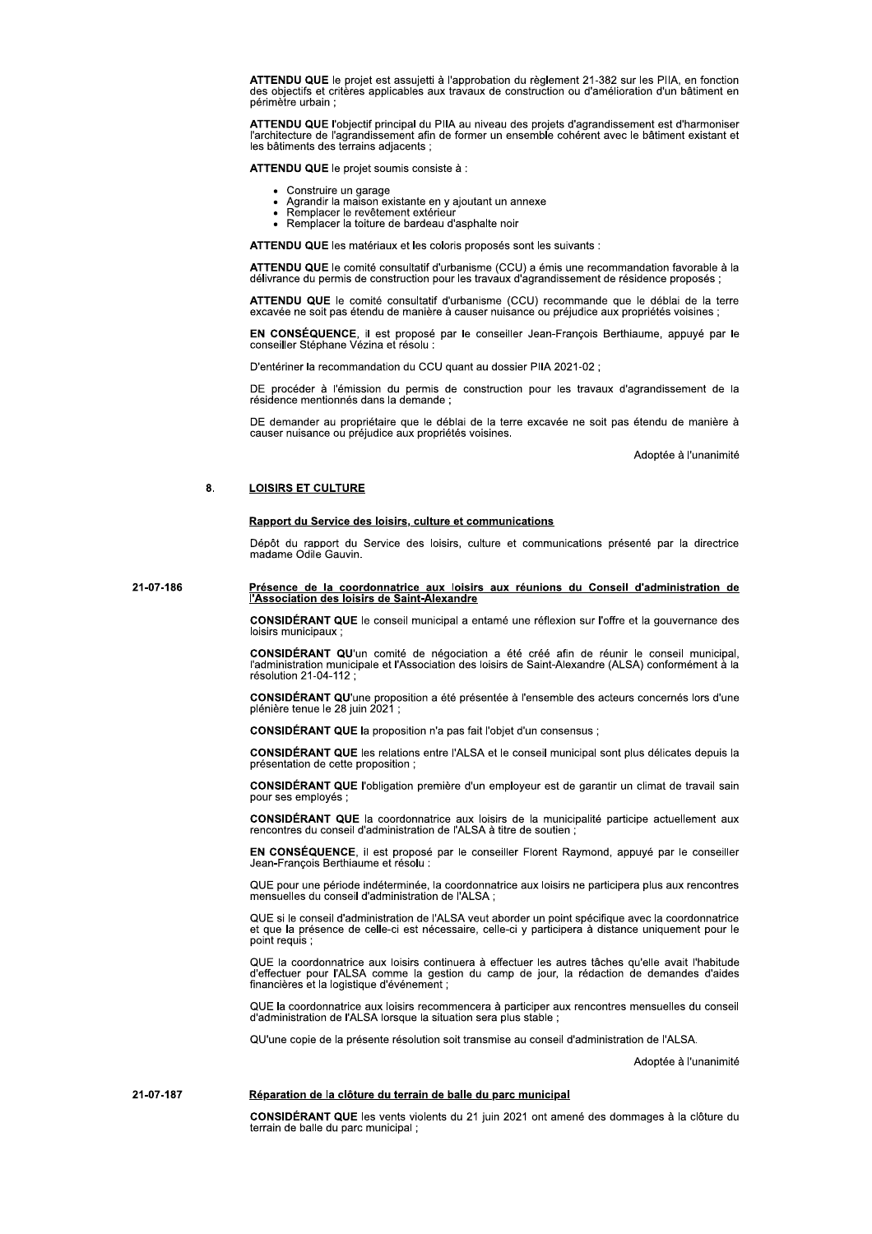ATTENDU QUE le projet est assujetti à l'approbation du règlement 21-382 sur les PIIA, en fonction des objectifs et critères applicables aux travaux de construction ou d'amélioration d'un bâtiment en périmètre urbain :

ATTENDU QUE l'obiectif principal du PIIA au niveau des projets d'agrandissement est d'harmoniser l'architecture de l'agrandissement afin de former un ensemble cohérent avec le bâtiment existant et les bâtiments des terrains adiacents :

ATTENDU QUE le projet soumis consiste à :

- Construire un garage
- Agrandir la maison existante en y ajoutant un annexe  $\bullet$
- Remplacer le revêtement extérieur<br>Remplacer le revêtement extérieur<br>Remplacer la toiture de bardeau d'asphalte noir
- 

ATTENDU QUE les matériaux et les coloris proposés sont les suivants :

ATTENDU QUE le comité consultatif d'urbanisme (CCU) a émis une recommandation favorable à la délivrance du permis de construction pour les travaux d'agrandissement de résidence proposés

ATTENDU QUE le comité consultatif d'urbanisme (CCU) recommande que le déblai de la terre excavée ne soit pas étendu de manière à causer nuisance ou préjudice aux propriétés voisines ;

EN CONSÉQUENCE, il est proposé par le conseiller Jean-François Berthiaume, appuyé par le conseiller Stéphane Vézina et résolu :

D'entériner la recommandation du CCU quant au dossier PIIA 2021-02 ;

DE procéder à l'émission du permis de construction pour les travaux d'agrandissement de la<br>résidence mentionnés dans la demande :

DE demander au propriétaire que le déblai de la terre excavée ne soit pas étendu de manière à causer nuisance ou préjudice aux propriétés voisines.

Adoptée à l'unanimité

#### 8. **LOISIRS ET CULTURE**

# Rapport du Service des loisirs, culture et communications

Dépôt du rapport du Service des loisirs, culture et communications présenté par la directrice madame Odile Gauvin.

21-07-186 Présence de la coordonnatrice aux loisirs aux réunions du Conseil d'administration de l'Association des loisirs de Saint-Alexandre

> CONSIDÉRANT QUE le conseil municipal a entamé une réflexion sur l'offre et la gouvernance des loisirs municipaux :

> CONSIDÉRANT QU'un comité de négociation a été créé afin de réunir le conseil municipal, l'administration municipale et l'Association des loisirs de Saint-Alexandre (ALSA) conformément à la résolution 21-04-112 :

> CONSIDÉRANT QU'une proposition a été présentée à l'ensemble des acteurs concernés lors d'une plénière tenue le 28 juin 2021 ;

CONSIDÉRANT QUE la proposition n'a pas fait l'objet d'un consensus ;

CONSIDÉRANT QUE les relations entre l'ALSA et le conseil municipal sont plus délicates depuis la présentation de cette proposition ;

CONSIDÉRANT QUE l'obligation première d'un employeur est de garantir un climat de travail sain pour ses employés;

CONSIDÉRANT QUE la coordonnatrice aux loisirs de la municipalité participe actuellement aux rencontres du conseil d'administration de l'ALSA à titre de soutien ;

EN CONSÉQUENCE, il est proposé par le conseiller Florent Raymond, appuyé par le conseiller Jean-François Berthiaume et résolu :

QUE pour une période indéterminée, la coordonnatrice aux loisirs ne participera plus aux rencontres mensuelles du conseil d'administration de l'ALSA ;

QUE si le conseil d'administration de l'ALSA veut aborder un point spécifique avec la coordonnatrice et que la présence de celle-ci est nécessaire, celle-ci y participera à distance uniquement pour le point requis :

QUE la coordonnatrice aux loisirs continuera à effectuer les autres tâches qu'elle avait l'habitude d'effectuer pour l'ALSA comme la gestion du camp de jour, la rédaction de demandes d'aides financières et la logistique d'

QUE la coordonnatrice aux loisirs recommencera à participer aux rencontres mensuelles du conseil<br>d'administration de l'ALSA lorsque la situation sera plus stable ;

QU'une copie de la présente résolution soit transmise au conseil d'administration de l'ALSA.

Adoptée à l'unanimité

21-07-187 Réparation de la clôture du terrain de balle du parc municipal

> CONSIDÉRANT QUE les vents violents du 21 juin 2021 ont amené des dommages à la clôture du terrain de balle du parc municipal;